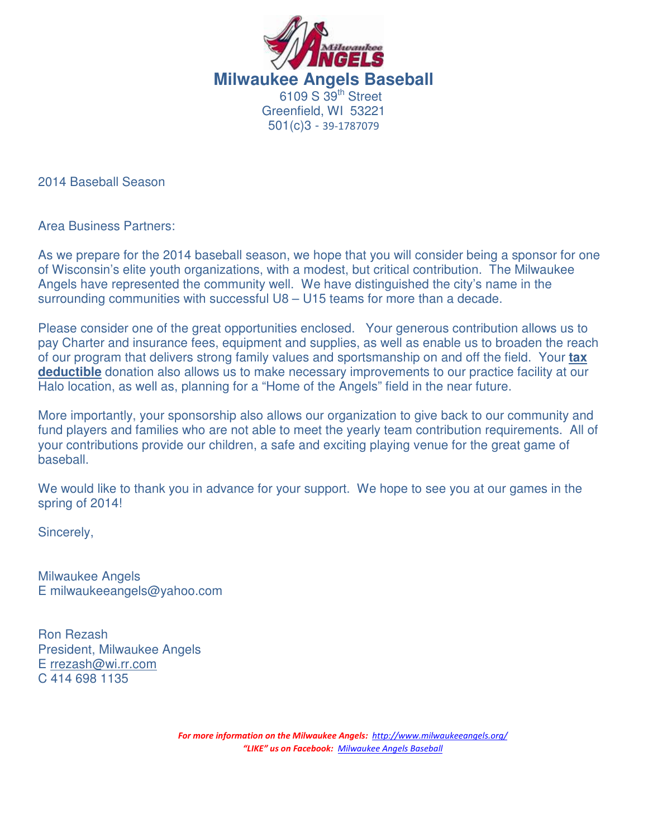

2014 Baseball Season

Area Business Partners:

As we prepare for the 2014 baseball season, we hope that you will consider being a sponsor for one of Wisconsin's elite youth organizations, with a modest, but critical contribution. The Milwaukee Angels have represented the community well. We have distinguished the city's name in the surrounding communities with successful U8 – U15 teams for more than a decade.

Please consider one of the great opportunities enclosed. Your generous contribution allows us to pay Charter and insurance fees, equipment and supplies, as well as enable us to broaden the reach of our program that delivers strong family values and sportsmanship on and off the field. Your **tax deductible** donation also allows us to make necessary improvements to our practice facility at our Halo location, as well as, planning for a "Home of the Angels" field in the near future.

More importantly, your sponsorship also allows our organization to give back to our community and fund players and families who are not able to meet the yearly team contribution requirements. All of your contributions provide our children, a safe and exciting playing venue for the great game of baseball.

We would like to thank you in advance for your support. We hope to see you at our games in the spring of 2014!

Sincerely,

Milwaukee Angels E milwaukeeangels@yahoo.com

Ron Rezash President, Milwaukee Angels E rrezash@wi.rr.com C 414 698 1135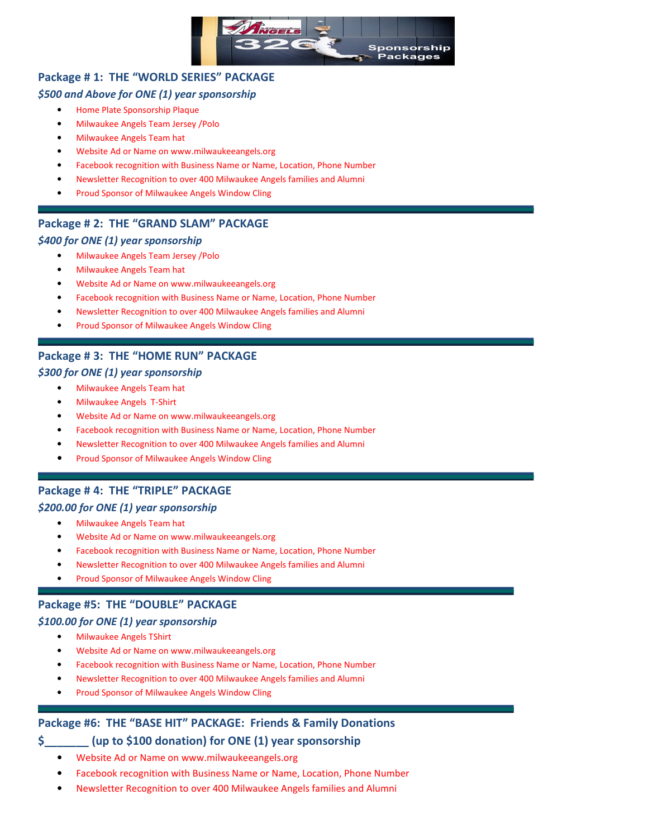

### Package # 1: THE "WORLD SERIES" PACKAGE

#### \$500 and Above for ONE (1) year sponsorship

- Home Plate Sponsorship Plaque
- Milwaukee Angels Team Jersey /Polo
- Milwaukee Angels Team hat
- Website Ad or Name on www.milwaukeeangels.org
- Facebook recognition with Business Name or Name, Location, Phone Number
- Newsletter Recognition to over 400 Milwaukee Angels families and Alumni
- Proud Sponsor of Milwaukee Angels Window Cling

#### Package # 2: THE "GRAND SLAM" PACKAGE

#### \$400 for ONE (1) year sponsorship

- Milwaukee Angels Team Jersey /Polo
- Milwaukee Angels Team hat
- Website Ad or Name on www.milwaukeeangels.org
- Facebook recognition with Business Name or Name, Location, Phone Number
- Newsletter Recognition to over 400 Milwaukee Angels families and Alumni
- Proud Sponsor of Milwaukee Angels Window Cling

#### Package # 3: THE "HOME RUN" PACKAGE

#### \$300 for ONE (1) year sponsorship

- Milwaukee Angels Team hat
- Milwaukee Angels T-Shirt
- Website Ad or Name on www.milwaukeeangels.org
- Facebook recognition with Business Name or Name, Location, Phone Number
- Newsletter Recognition to over 400 Milwaukee Angels families and Alumni
- Proud Sponsor of Milwaukee Angels Window Cling

#### Package # 4: THE "TRIPLE" PACKAGE

#### \$200.00 for ONE (1) year sponsorship

- Milwaukee Angels Team hat
- Website Ad or Name on www.milwaukeeangels.org
- Facebook recognition with Business Name or Name, Location, Phone Number
- Newsletter Recognition to over 400 Milwaukee Angels families and Alumni
- Proud Sponsor of Milwaukee Angels Window Cling

### Package #5: THE "DOUBLE" PACKAGE

#### \$100.00 for ONE (1) year sponsorship

- Milwaukee Angels TShirt
- Website Ad or Name on www.milwaukeeangels.org
- Facebook recognition with Business Name or Name, Location, Phone Number
- Newsletter Recognition to over 400 Milwaukee Angels families and Alumni
- Proud Sponsor of Milwaukee Angels Window Cling

#### Package #6: THE "BASE HIT" PACKAGE: Friends & Family Donations

#### \$\_\_\_\_\_\_\_ (up to \$100 donation) for ONE (1) year sponsorship

- Website Ad or Name on www.milwaukeeangels.org
- Facebook recognition with Business Name or Name, Location, Phone Number
- Newsletter Recognition to over 400 Milwaukee Angels families and Alumni